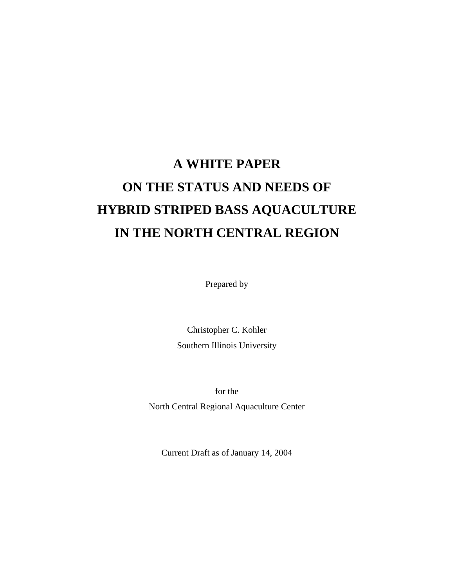# **A WHITE PAPER ON THE STATUS AND NEEDS OF HYBRID STRIPED BASS AQUACULTURE IN THE NORTH CENTRAL REGION**

Prepared by

Christopher C. Kohler Southern Illinois University

for the North Central Regional Aquaculture Center

Current Draft as of January 14, 2004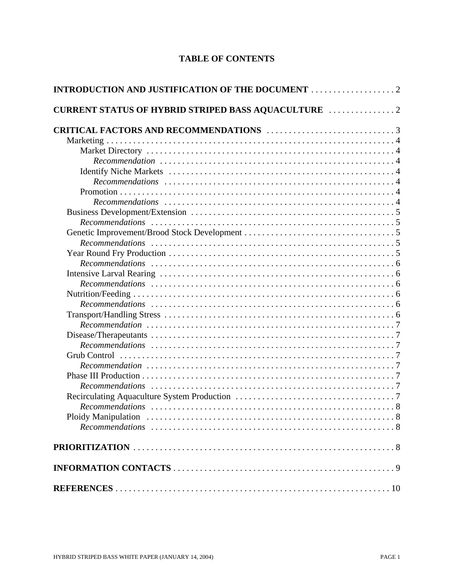# **TABLE OF CONTENTS**

| <b>CURRENT STATUS OF HYBRID STRIPED BASS AQUACULTURE  2</b> |  |
|-------------------------------------------------------------|--|
|                                                             |  |
|                                                             |  |
|                                                             |  |
|                                                             |  |
|                                                             |  |
|                                                             |  |
|                                                             |  |
|                                                             |  |
|                                                             |  |
|                                                             |  |
|                                                             |  |
|                                                             |  |
|                                                             |  |
|                                                             |  |
|                                                             |  |
|                                                             |  |
|                                                             |  |
|                                                             |  |
|                                                             |  |
|                                                             |  |
|                                                             |  |
|                                                             |  |
|                                                             |  |
|                                                             |  |
|                                                             |  |
|                                                             |  |
|                                                             |  |
|                                                             |  |
| <b>Ploidy Manipulation</b><br>. 8                           |  |
|                                                             |  |
|                                                             |  |
|                                                             |  |
|                                                             |  |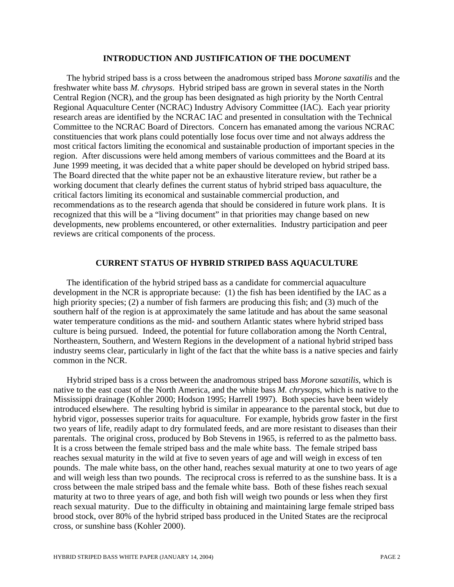#### **INTRODUCTION AND JUSTIFICATION OF THE DOCUMENT**

The hybrid striped bass is a cross between the anadromous striped bass *Morone saxatilis* and the freshwater white bass *M. chrysops*. Hybrid striped bass are grown in several states in the North Central Region (NCR), and the group has been designated as high priority by the North Central Regional Aquaculture Center (NCRAC) Industry Advisory Committee (IAC). Each year priority research areas are identified by the NCRAC IAC and presented in consultation with the Technical Committee to the NCRAC Board of Directors. Concern has emanated among the various NCRAC constituencies that work plans could potentially lose focus over time and not always address the most critical factors limiting the economical and sustainable production of important species in the region. After discussions were held among members of various committees and the Board at its June 1999 meeting, it was decided that a white paper should be developed on hybrid striped bass. The Board directed that the white paper not be an exhaustive literature review, but rather be a working document that clearly defines the current status of hybrid striped bass aquaculture, the critical factors limiting its economical and sustainable commercial production, and recommendations as to the research agenda that should be considered in future work plans. It is recognized that this will be a "living document" in that priorities may change based on new developments, new problems encountered, or other externalities. Industry participation and peer reviews are critical components of the process.

#### **CURRENT STATUS OF HYBRID STRIPED BASS AQUACULTURE**

The identification of the hybrid striped bass as a candidate for commercial aquaculture development in the NCR is appropriate because: (1) the fish has been identified by the IAC as a high priority species; (2) a number of fish farmers are producing this fish; and (3) much of the southern half of the region is at approximately the same latitude and has about the same seasonal water temperature conditions as the mid- and southern Atlantic states where hybrid striped bass culture is being pursued. Indeed, the potential for future collaboration among the North Central, Northeastern, Southern, and Western Regions in the development of a national hybrid striped bass industry seems clear, particularly in light of the fact that the white bass is a native species and fairly common in the NCR.

Hybrid striped bass is a cross between the anadromous striped bass *Morone saxatilis*, which is native to the east coast of the North America, and the white bass *M. chrysops*, which is native to the Mississippi drainage (Kohler 2000; Hodson 1995; Harrell 1997). Both species have been widely introduced elsewhere. The resulting hybrid is similar in appearance to the parental stock, but due to hybrid vigor, possesses superior traits for aquaculture. For example, hybrids grow faster in the first two years of life, readily adapt to dry formulated feeds, and are more resistant to diseases than their parentals. The original cross, produced by Bob Stevens in 1965, is referred to as the palmetto bass. It is a cross between the female striped bass and the male white bass. The female striped bass reaches sexual maturity in the wild at five to seven years of age and will weigh in excess of ten pounds. The male white bass, on the other hand, reaches sexual maturity at one to two years of age and will weigh less than two pounds. The reciprocal cross is referred to as the sunshine bass. It is a cross between the male striped bass and the female white bass. Both of these fishes reach sexual maturity at two to three years of age, and both fish will weigh two pounds or less when they first reach sexual maturity. Due to the difficulty in obtaining and maintaining large female striped bass brood stock, over 80% of the hybrid striped bass produced in the United States are the reciprocal cross, or sunshine bass (Kohler 2000).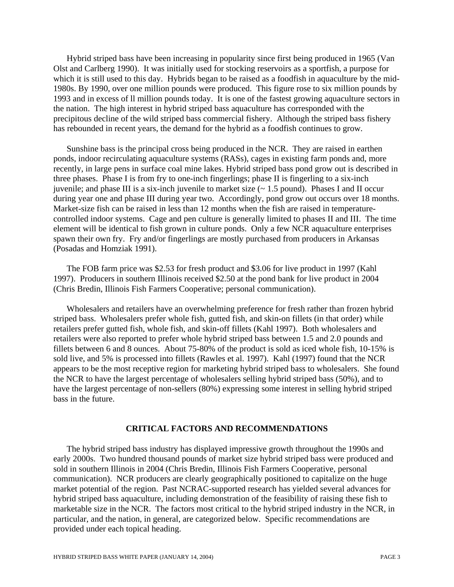Hybrid striped bass have been increasing in popularity since first being produced in 1965 (Van Olst and Carlberg 1990). It was initially used for stocking reservoirs as a sportfish, a purpose for which it is still used to this day. Hybrids began to be raised as a food fish in aquaculture by the mid-1980s. By 1990, over one million pounds were produced. This figure rose to six million pounds by 1993 and in excess of ll million pounds today. It is one of the fastest growing aquaculture sectors in the nation. The high interest in hybrid striped bass aquaculture has corresponded with the precipitous decline of the wild striped bass commercial fishery. Although the striped bass fishery has rebounded in recent years, the demand for the hybrid as a foodfish continues to grow.

Sunshine bass is the principal cross being produced in the NCR. They are raised in earthen ponds, indoor recirculating aquaculture systems (RASs), cages in existing farm ponds and, more recently, in large pens in surface coal mine lakes. Hybrid striped bass pond grow out is described in three phases. Phase I is from fry to one-inch fingerlings; phase II is fingerling to a six-inch juvenile; and phase III is a six-inch juvenile to market size (~ 1.5 pound). Phases I and II occur during year one and phase III during year two. Accordingly, pond grow out occurs over 18 months. Market-size fish can be raised in less than 12 months when the fish are raised in temperaturecontrolled indoor systems. Cage and pen culture is generally limited to phases II and III. The time element will be identical to fish grown in culture ponds. Only a few NCR aquaculture enterprises spawn their own fry. Fry and/or fingerlings are mostly purchased from producers in Arkansas (Posadas and Homziak 1991).

The FOB farm price was \$2.53 for fresh product and \$3.06 for live product in 1997 (Kahl 1997). Producers in southern Illinois received \$2.50 at the pond bank for live product in 2004 (Chris Bredin, Illinois Fish Farmers Cooperative; personal communication).

Wholesalers and retailers have an overwhelming preference for fresh rather than frozen hybrid striped bass. Wholesalers prefer whole fish, gutted fish, and skin-on fillets (in that order) while retailers prefer gutted fish, whole fish, and skin-off fillets (Kahl 1997). Both wholesalers and retailers were also reported to prefer whole hybrid striped bass between 1.5 and 2.0 pounds and fillets between 6 and 8 ounces. About 75-80% of the product is sold as iced whole fish, 10-15% is sold live, and 5% is processed into fillets (Rawles et al. 1997). Kahl (1997) found that the NCR appears to be the most receptive region for marketing hybrid striped bass to wholesalers. She found the NCR to have the largest percentage of wholesalers selling hybrid striped bass (50%), and to have the largest percentage of non-sellers (80%) expressing some interest in selling hybrid striped bass in the future.

#### **CRITICAL FACTORS AND RECOMMENDATIONS**

The hybrid striped bass industry has displayed impressive growth throughout the 1990s and early 2000s. Two hundred thousand pounds of market size hybrid striped bass were produced and sold in southern Illinois in 2004 (Chris Bredin, Illinois Fish Farmers Cooperative, personal communication). NCR producers are clearly geographically positioned to capitalize on the huge market potential of the region. Past NCRAC-supported research has yielded several advances for hybrid striped bass aquaculture, including demonstration of the feasibility of raising these fish to marketable size in the NCR. The factors most critical to the hybrid striped industry in the NCR, in particular, and the nation, in general, are categorized below. Specific recommendations are provided under each topical heading.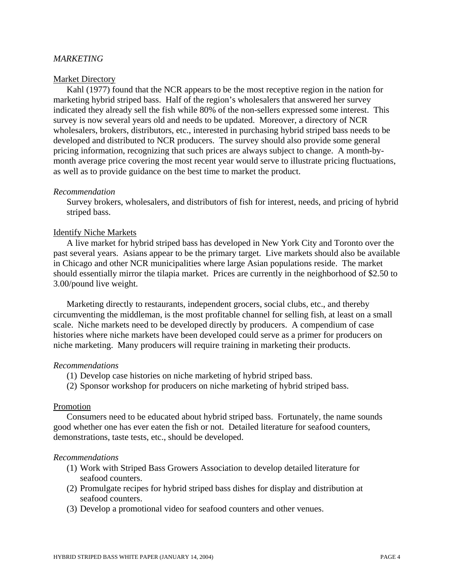## *MARKETING*

#### Market Directory

Kahl (1977) found that the NCR appears to be the most receptive region in the nation for marketing hybrid striped bass. Half of the region's wholesalers that answered her survey indicated they already sell the fish while 80% of the non-sellers expressed some interest. This survey is now several years old and needs to be updated. Moreover, a directory of NCR wholesalers, brokers, distributors, etc., interested in purchasing hybrid striped bass needs to be developed and distributed to NCR producers. The survey should also provide some general pricing information, recognizing that such prices are always subject to change. A month-bymonth average price covering the most recent year would serve to illustrate pricing fluctuations, as well as to provide guidance on the best time to market the product.

#### *Recommendation*

Survey brokers, wholesalers, and distributors of fish for interest, needs, and pricing of hybrid striped bass.

#### Identify Niche Markets

A live market for hybrid striped bass has developed in New York City and Toronto over the past several years. Asians appear to be the primary target. Live markets should also be available in Chicago and other NCR municipalities where large Asian populations reside. The market should essentially mirror the tilapia market. Prices are currently in the neighborhood of \$2.50 to 3.00/pound live weight.

Marketing directly to restaurants, independent grocers, social clubs, etc., and thereby circumventing the middleman, is the most profitable channel for selling fish, at least on a small scale. Niche markets need to be developed directly by producers. A compendium of case histories where niche markets have been developed could serve as a primer for producers on niche marketing. Many producers will require training in marketing their products.

#### *Recommendations*

- (1) Develop case histories on niche marketing of hybrid striped bass.
- (2) Sponsor workshop for producers on niche marketing of hybrid striped bass.

#### Promotion

Consumers need to be educated about hybrid striped bass. Fortunately, the name sounds good whether one has ever eaten the fish or not. Detailed literature for seafood counters, demonstrations, taste tests, etc., should be developed.

#### *Recommendations*

- (1) Work with Striped Bass Growers Association to develop detailed literature for seafood counters.
- (2) Promulgate recipes for hybrid striped bass dishes for display and distribution at seafood counters.
- (3) Develop a promotional video for seafood counters and other venues.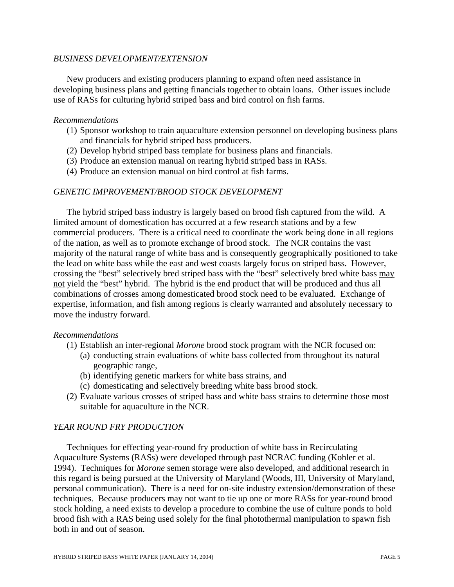## *BUSINESS DEVELOPMENT/EXTENSION*

New producers and existing producers planning to expand often need assistance in developing business plans and getting financials together to obtain loans. Other issues include use of RASs for culturing hybrid striped bass and bird control on fish farms.

### *Recommendations*

- (1) Sponsor workshop to train aquaculture extension personnel on developing business plans and financials for hybrid striped bass producers.
- (2) Develop hybrid striped bass template for business plans and financials.
- (3) Produce an extension manual on rearing hybrid striped bass in RASs.
- (4) Produce an extension manual on bird control at fish farms.

## *GENETIC IMPROVEMENT/BROOD STOCK DEVELOPMENT*

The hybrid striped bass industry is largely based on brood fish captured from the wild. A limited amount of domestication has occurred at a few research stations and by a few commercial producers. There is a critical need to coordinate the work being done in all regions of the nation, as well as to promote exchange of brood stock. The NCR contains the vast majority of the natural range of white bass and is consequently geographically positioned to take the lead on white bass while the east and west coasts largely focus on striped bass. However, crossing the "best" selectively bred striped bass with the "best" selectively bred white bass may not yield the "best" hybrid. The hybrid is the end product that will be produced and thus all combinations of crosses among domesticated brood stock need to be evaluated. Exchange of expertise, information, and fish among regions is clearly warranted and absolutely necessary to move the industry forward.

#### *Recommendations*

- (1) Establish an inter-regional *Morone* brood stock program with the NCR focused on:
	- (a) conducting strain evaluations of white bass collected from throughout its natural geographic range,
	- (b) identifying genetic markers for white bass strains, and
	- (c) domesticating and selectively breeding white bass brood stock.
- (2) Evaluate various crosses of striped bass and white bass strains to determine those most suitable for aquaculture in the NCR.

#### *YEAR ROUND FRY PRODUCTION*

Techniques for effecting year-round fry production of white bass in Recirculating Aquaculture Systems (RASs) were developed through past NCRAC funding (Kohler et al. 1994). Techniques for *Morone* semen storage were also developed, and additional research in this regard is being pursued at the University of Maryland (Woods, III, University of Maryland, personal communication). There is a need for on-site industry extension/demonstration of these techniques. Because producers may not want to tie up one or more RASs for year-round brood stock holding, a need exists to develop a procedure to combine the use of culture ponds to hold brood fish with a RAS being used solely for the final photothermal manipulation to spawn fish both in and out of season.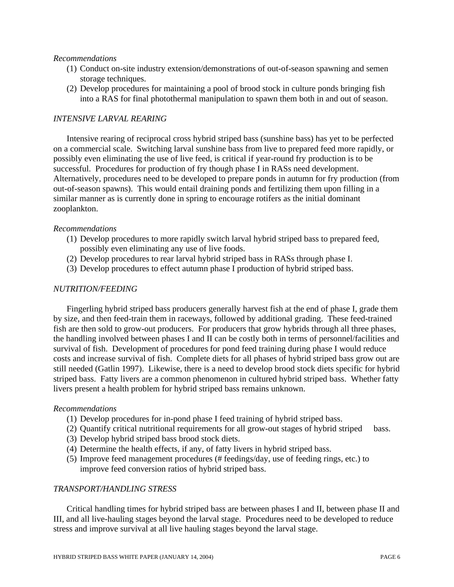#### *Recommendations*

- (1) Conduct on-site industry extension/demonstrations of out-of-season spawning and semen storage techniques.
- (2) Develop procedures for maintaining a pool of brood stock in culture ponds bringing fish into a RAS for final photothermal manipulation to spawn them both in and out of season.

## *INTENSIVE LARVAL REARING*

Intensive rearing of reciprocal cross hybrid striped bass (sunshine bass) has yet to be perfected on a commercial scale. Switching larval sunshine bass from live to prepared feed more rapidly, or possibly even eliminating the use of live feed, is critical if year-round fry production is to be successful. Procedures for production of fry though phase I in RASs need development. Alternatively, procedures need to be developed to prepare ponds in autumn for fry production (from out-of-season spawns). This would entail draining ponds and fertilizing them upon filling in a similar manner as is currently done in spring to encourage rotifers as the initial dominant zooplankton.

#### *Recommendations*

- (1) Develop procedures to more rapidly switch larval hybrid striped bass to prepared feed, possibly even eliminating any use of live foods.
- (2) Develop procedures to rear larval hybrid striped bass in RASs through phase I.
- (3) Develop procedures to effect autumn phase I production of hybrid striped bass.

## *NUTRITION/FEEDING*

Fingerling hybrid striped bass producers generally harvest fish at the end of phase I, grade them by size, and then feed-train them in raceways, followed by additional grading. These feed-trained fish are then sold to grow-out producers. For producers that grow hybrids through all three phases, the handling involved between phases I and II can be costly both in terms of personnel/facilities and survival of fish. Development of procedures for pond feed training during phase I would reduce costs and increase survival of fish. Complete diets for all phases of hybrid striped bass grow out are still needed (Gatlin 1997). Likewise, there is a need to develop brood stock diets specific for hybrid striped bass. Fatty livers are a common phenomenon in cultured hybrid striped bass. Whether fatty livers present a health problem for hybrid striped bass remains unknown.

#### *Recommendations*

- (1) Develop procedures for in-pond phase I feed training of hybrid striped bass.
- (2) Quantify critical nutritional requirements for all grow-out stages of hybrid striped bass.
- (3) Develop hybrid striped bass brood stock diets.
- (4) Determine the health effects, if any, of fatty livers in hybrid striped bass.
- (5) Improve feed management procedures (# feedings/day, use of feeding rings, etc.) to improve feed conversion ratios of hybrid striped bass.

## *TRANSPORT/HANDLING STRESS*

Critical handling times for hybrid striped bass are between phases I and II, between phase II and III, and all live-hauling stages beyond the larval stage. Procedures need to be developed to reduce stress and improve survival at all live hauling stages beyond the larval stage.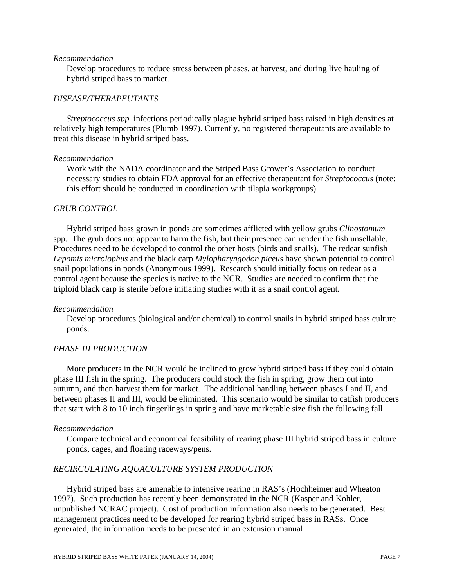#### *Recommendation*

Develop procedures to reduce stress between phases, at harvest, and during live hauling of hybrid striped bass to market.

#### *DISEASE/THERAPEUTANTS*

*Streptococcus spp.* infections periodically plague hybrid striped bass raised in high densities at relatively high temperatures (Plumb 1997). Currently, no registered therapeutants are available to treat this disease in hybrid striped bass.

#### *Recommendation*

Work with the NADA coordinator and the Striped Bass Grower's Association to conduct necessary studies to obtain FDA approval for an effective therapeutant for *Streptococcus* (note: this effort should be conducted in coordination with tilapia workgroups).

#### *GRUB CONTROL*

Hybrid striped bass grown in ponds are sometimes afflicted with yellow grubs *Clinostomum* spp. The grub does not appear to harm the fish, but their presence can render the fish unsellable. Procedures need to be developed to control the other hosts (birds and snails). The redear sunfish *Lepomis microlophus* and the black carp *Mylopharyngodon piceus* have shown potential to control snail populations in ponds (Anonymous 1999). Research should initially focus on redear as a control agent because the species is native to the NCR. Studies are needed to confirm that the triploid black carp is sterile before initiating studies with it as a snail control agent.

#### *Recommendation*

Develop procedures (biological and/or chemical) to control snails in hybrid striped bass culture ponds.

#### *PHASE III PRODUCTION*

More producers in the NCR would be inclined to grow hybrid striped bass if they could obtain phase III fish in the spring. The producers could stock the fish in spring, grow them out into autumn, and then harvest them for market. The additional handling between phases I and II, and between phases II and III, would be eliminated. This scenario would be similar to catfish producers that start with 8 to 10 inch fingerlings in spring and have marketable size fish the following fall.

#### *Recommendation*

Compare technical and economical feasibility of rearing phase III hybrid striped bass in culture ponds, cages, and floating raceways/pens.

### *RECIRCULATING AQUACULTURE SYSTEM PRODUCTION*

Hybrid striped bass are amenable to intensive rearing in RAS's (Hochheimer and Wheaton 1997). Such production has recently been demonstrated in the NCR (Kasper and Kohler, unpublished NCRAC project). Cost of production information also needs to be generated. Best management practices need to be developed for rearing hybrid striped bass in RASs. Once generated, the information needs to be presented in an extension manual.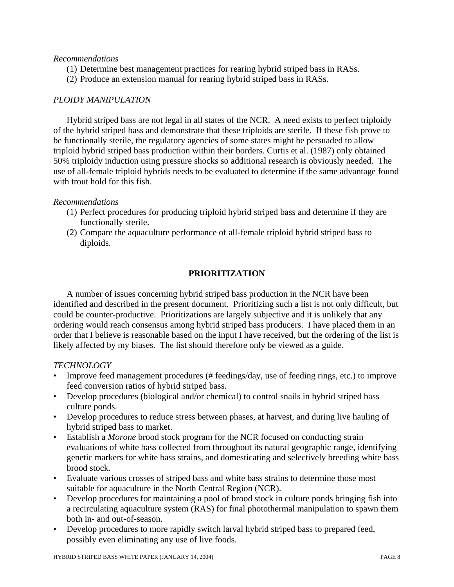## *Recommendations*

- (1) Determine best management practices for rearing hybrid striped bass in RASs.
- (2) Produce an extension manual for rearing hybrid striped bass in RASs.

# *PLOIDY MANIPULATION*

Hybrid striped bass are not legal in all states of the NCR. A need exists to perfect triploidy of the hybrid striped bass and demonstrate that these triploids are sterile. If these fish prove to be functionally sterile, the regulatory agencies of some states might be persuaded to allow triploid hybrid striped bass production within their borders. Curtis et al. (1987) only obtained 50% triploidy induction using pressure shocks so additional research is obviously needed. The use of all-female triploid hybrids needs to be evaluated to determine if the same advantage found with trout hold for this fish.

# *Recommendations*

- (1) Perfect procedures for producing triploid hybrid striped bass and determine if they are functionally sterile.
- (2) Compare the aquaculture performance of all-female triploid hybrid striped bass to diploids.

# **PRIORITIZATION**

A number of issues concerning hybrid striped bass production in the NCR have been identified and described in the present document. Prioritizing such a list is not only difficult, but could be counter-productive. Prioritizations are largely subjective and it is unlikely that any ordering would reach consensus among hybrid striped bass producers. I have placed them in an order that I believe is reasonable based on the input I have received, but the ordering of the list is likely affected by my biases. The list should therefore only be viewed as a guide.

# *TECHNOLOGY*

- Improve feed management procedures (# feedings/day, use of feeding rings, etc.) to improve feed conversion ratios of hybrid striped bass.
- Develop procedures (biological and/or chemical) to control snails in hybrid striped bass culture ponds.
- Develop procedures to reduce stress between phases, at harvest, and during live hauling of hybrid striped bass to market.
- Establish a *Morone* brood stock program for the NCR focused on conducting strain evaluations of white bass collected from throughout its natural geographic range, identifying genetic markers for white bass strains, and domesticating and selectively breeding white bass brood stock.
- Evaluate various crosses of striped bass and white bass strains to determine those most suitable for aquaculture in the North Central Region (NCR).
- Develop procedures for maintaining a pool of brood stock in culture ponds bringing fish into a recirculating aquaculture system (RAS) for final photothermal manipulation to spawn them both in- and out-of-season.
- Develop procedures to more rapidly switch larval hybrid striped bass to prepared feed, possibly even eliminating any use of live foods.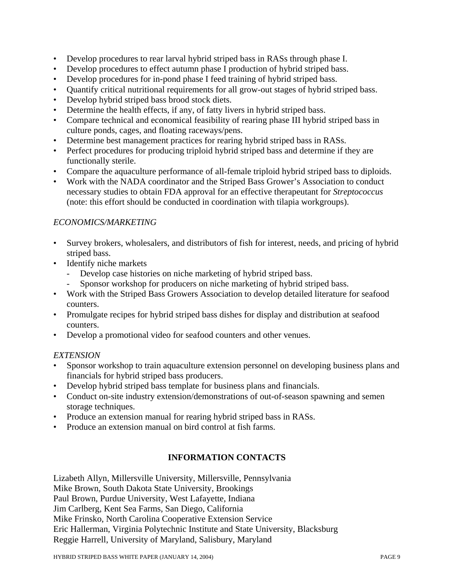- Develop procedures to rear larval hybrid striped bass in RASs through phase I.
- Develop procedures to effect autumn phase I production of hybrid striped bass.
- Develop procedures for in-pond phase I feed training of hybrid striped bass.
- Quantify critical nutritional requirements for all grow-out stages of hybrid striped bass.
- Develop hybrid striped bass brood stock diets.
- Determine the health effects, if any, of fatty livers in hybrid striped bass.
- Compare technical and economical feasibility of rearing phase III hybrid striped bass in culture ponds, cages, and floating raceways/pens.
- Determine best management practices for rearing hybrid striped bass in RASs.
- Perfect procedures for producing triploid hybrid striped bass and determine if they are functionally sterile.
- Compare the aquaculture performance of all-female triploid hybrid striped bass to diploids.
- Work with the NADA coordinator and the Striped Bass Grower's Association to conduct necessary studies to obtain FDA approval for an effective therapeutant for *Streptococcus* (note: this effort should be conducted in coordination with tilapia workgroups).

# *ECONOMICS/MARKETING*

- Survey brokers, wholesalers, and distributors of fish for interest, needs, and pricing of hybrid striped bass.
- Identify niche markets
	- Develop case histories on niche marketing of hybrid striped bass.
	- Sponsor workshop for producers on niche marketing of hybrid striped bass.
- Work with the Striped Bass Growers Association to develop detailed literature for seafood counters.
- Promulgate recipes for hybrid striped bass dishes for display and distribution at seafood counters.
- Develop a promotional video for seafood counters and other venues.

# *EXTENSION*

- Sponsor workshop to train aquaculture extension personnel on developing business plans and financials for hybrid striped bass producers.
- Develop hybrid striped bass template for business plans and financials.
- Conduct on-site industry extension/demonstrations of out-of-season spawning and semen storage techniques.
- Produce an extension manual for rearing hybrid striped bass in RASs.
- Produce an extension manual on bird control at fish farms.

# **INFORMATION CONTACTS**

Lizabeth Allyn, Millersville University, Millersville, Pennsylvania Mike Brown, South Dakota State University, Brookings Paul Brown, Purdue University, West Lafayette, Indiana Jim Carlberg, Kent Sea Farms, San Diego, California Mike Frinsko, North Carolina Cooperative Extension Service Eric Hallerman, Virginia Polytechnic Institute and State University, Blacksburg Reggie Harrell, University of Maryland, Salisbury, Maryland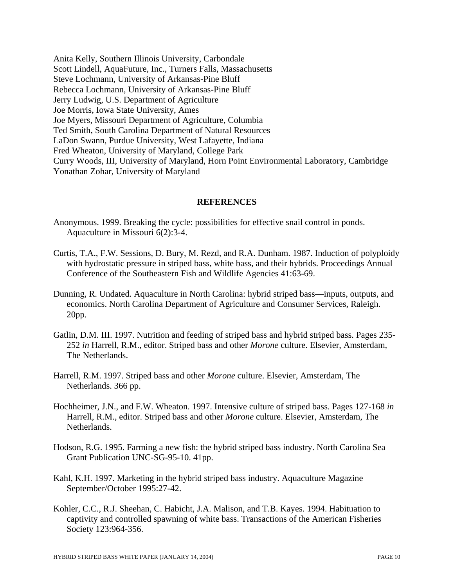Anita Kelly, Southern Illinois University, Carbondale Scott Lindell, AquaFuture, Inc., Turners Falls, Massachusetts Steve Lochmann, University of Arkansas-Pine Bluff Rebecca Lochmann, University of Arkansas-Pine Bluff Jerry Ludwig, U.S. Department of Agriculture Joe Morris, Iowa State University, Ames Joe Myers, Missouri Department of Agriculture, Columbia Ted Smith, South Carolina Department of Natural Resources LaDon Swann, Purdue University, West Lafayette, Indiana Fred Wheaton, University of Maryland, College Park Curry Woods, III, University of Maryland, Horn Point Environmental Laboratory, Cambridge Yonathan Zohar, University of Maryland

#### **REFERENCES**

- Anonymous. 1999. Breaking the cycle: possibilities for effective snail control in ponds. Aquaculture in Missouri 6(2):3-4.
- Curtis, T.A., F.W. Sessions, D. Bury, M. Rezd, and R.A. Dunham. 1987. Induction of polyploidy with hydrostatic pressure in striped bass, white bass, and their hybrids. Proceedings Annual Conference of the Southeastern Fish and Wildlife Agencies 41:63-69.
- Dunning, R. Undated. Aquaculture in North Carolina: hybrid striped bass—inputs, outputs, and economics. North Carolina Department of Agriculture and Consumer Services, Raleigh. 20pp.
- Gatlin, D.M. III. 1997. Nutrition and feeding of striped bass and hybrid striped bass. Pages 235- 252 *in* Harrell, R.M., editor. Striped bass and other *Morone* culture. Elsevier, Amsterdam, The Netherlands.
- Harrell, R.M. 1997. Striped bass and other *Morone* culture. Elsevier, Amsterdam, The Netherlands. 366 pp.
- Hochheimer, J.N., and F.W. Wheaton. 1997. Intensive culture of striped bass. Pages 127-168 *in* Harrell, R.M., editor. Striped bass and other *Morone* culture. Elsevier, Amsterdam, The Netherlands.
- Hodson, R.G. 1995. Farming a new fish: the hybrid striped bass industry. North Carolina Sea Grant Publication UNC-SG-95-10. 41pp.
- Kahl, K.H. 1997. Marketing in the hybrid striped bass industry. Aquaculture Magazine September/October 1995:27-42.
- Kohler, C.C., R.J. Sheehan, C. Habicht, J.A. Malison, and T.B. Kayes. 1994. Habituation to captivity and controlled spawning of white bass. Transactions of the American Fisheries Society 123:964-356.